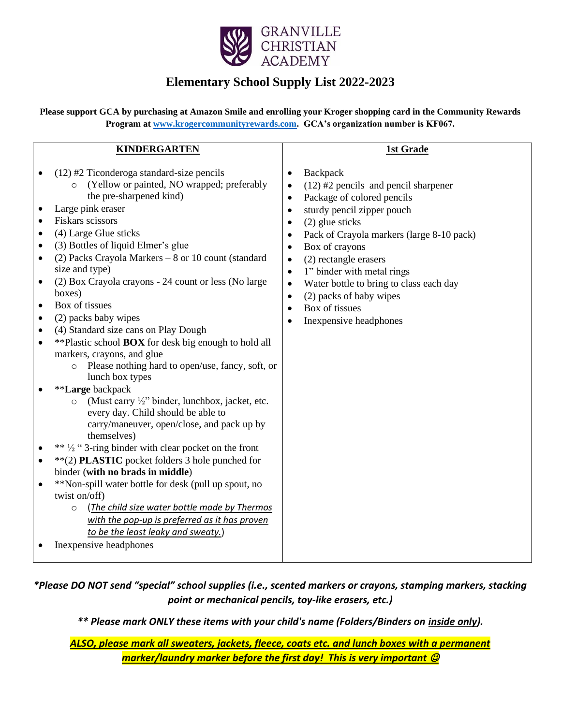

## **Elementary School Supply List 2022-2023**

**Please support GCA by purchasing at Amazon Smile and enrolling your Kroger shopping card in the Community Rewards Program at [www.krogercommunityrewards.com.](http://www.krogercommunityrewards.com/) GCA's organization number is KF067.**

| <b>KINDERGARTEN</b>                                                                                                                                                                                                                                                                                                                                                                                                                                                                                                                                                                                                                                                                                                                                                                                                                                                                                                                                                                                                                                                                                                                                                                                                                                                                                                                                                                                                 | 1st Grade                                                                                                                                                                                                                                                                                                                                                                                                                                                                                                                |
|---------------------------------------------------------------------------------------------------------------------------------------------------------------------------------------------------------------------------------------------------------------------------------------------------------------------------------------------------------------------------------------------------------------------------------------------------------------------------------------------------------------------------------------------------------------------------------------------------------------------------------------------------------------------------------------------------------------------------------------------------------------------------------------------------------------------------------------------------------------------------------------------------------------------------------------------------------------------------------------------------------------------------------------------------------------------------------------------------------------------------------------------------------------------------------------------------------------------------------------------------------------------------------------------------------------------------------------------------------------------------------------------------------------------|--------------------------------------------------------------------------------------------------------------------------------------------------------------------------------------------------------------------------------------------------------------------------------------------------------------------------------------------------------------------------------------------------------------------------------------------------------------------------------------------------------------------------|
| $(12)$ #2 Ticonderoga standard-size pencils<br>(Yellow or painted, NO wrapped; preferably<br>$\circ$<br>the pre-sharpened kind)<br>Large pink eraser<br>٠<br><b>Fiskars</b> scissors<br>$\bullet$<br>(4) Large Glue sticks<br>$\bullet$<br>(3) Bottles of liquid Elmer's glue<br>$\bullet$<br>(2) Packs Crayola Markers - 8 or 10 count (standard<br>$\bullet$<br>size and type)<br>(2) Box Crayola crayons - 24 count or less (No large<br>$\bullet$<br>boxes)<br>Box of tissues<br>$\bullet$<br>(2) packs baby wipes<br>$\bullet$<br>(4) Standard size cans on Play Dough<br>$\bullet$<br>**Plastic school <b>BOX</b> for desk big enough to hold all<br>$\bullet$<br>markers, crayons, and glue<br>Please nothing hard to open/use, fancy, soft, or<br>$\circ$<br>lunch box types<br>**Large backpack<br>(Must carry $\frac{1}{2}$ " binder, lunchbox, jacket, etc.<br>$\circ$<br>every day. Child should be able to<br>carry/maneuver, open/close, and pack up by<br>themselves)<br>** 1/2 " 3-ring binder with clear pocket on the front<br>**(2) PLASTIC pocket folders 3 hole punched for<br>$\bullet$<br>binder (with no brads in middle)<br>**Non-spill water bottle for desk (pull up spout, no<br>$\bullet$<br>twist on/off)<br>(The child size water bottle made by Thermos<br>$\circ$<br>with the pop-up is preferred as it has proven<br>to be the least leaky and sweaty.)<br>Inexpensive headphones | Backpack<br>$\bullet$<br>$(12)$ #2 pencils and pencil sharpener<br>$\bullet$<br>Package of colored pencils<br>$\bullet$<br>sturdy pencil zipper pouch<br>$\bullet$<br>(2) glue sticks<br>Pack of Crayola markers (large 8-10 pack)<br>$\bullet$<br>Box of crayons<br>$\bullet$<br>(2) rectangle erasers<br>$\bullet$<br>1" binder with metal rings<br>$\bullet$<br>Water bottle to bring to class each day<br>$\bullet$<br>(2) packs of baby wipes<br>$\bullet$<br>Box of tissues<br>$\bullet$<br>Inexpensive headphones |

## *\*Please DO NOT send "special" school supplies (i.e., scented markers or crayons, stamping markers, stacking point or mechanical pencils, toy-like erasers, etc.)*

*\*\* Please mark ONLY these items with your child's name (Folders/Binders on inside only).*

*ALSO, please mark all sweaters, jackets, fleece, coats etc. and lunch boxes with a permanent marker/laundry marker before the first day! This is very important*  $\mathcal O$